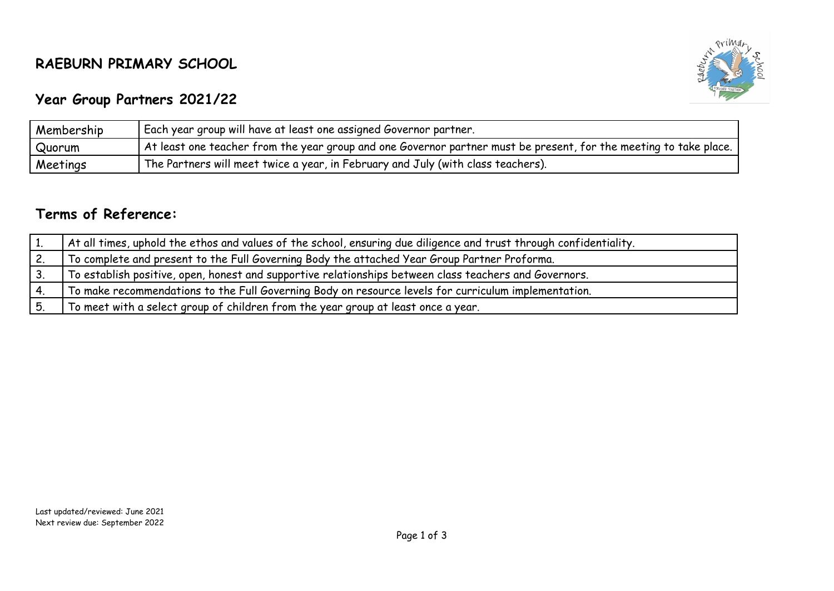## **RAEBURN PRIMARY SCHOOL**



## **Year Group Partners 2021/22**

| Membership | Each year group will have at least one assigned Governor partner.                                                 |  |
|------------|-------------------------------------------------------------------------------------------------------------------|--|
| Quorum     | At least one teacher from the year group and one Governor partner must be present, for the meeting to take place. |  |
| Meetings   | The Partners will meet twice a year, in February and July (with class teachers).                                  |  |

## **Terms of Reference:**

| At all times, uphold the ethos and values of the school, ensuring due diligence and trust through confidentiality. |
|--------------------------------------------------------------------------------------------------------------------|
| To complete and present to the Full Governing Body the attached Year Group Partner Proforma.                       |
| To establish positive, open, honest and supportive relationships between class teachers and Governors.             |
| To make recommendations to the Full Governing Body on resource levels for curriculum implementation.               |
| To meet with a select group of children from the year group at least once a year.                                  |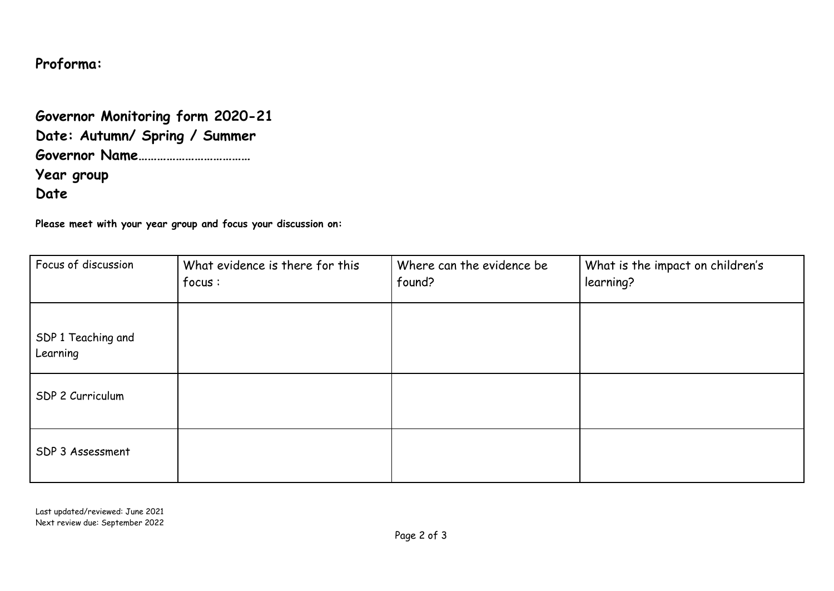## **Proforma:**

|            | Governor Monitoring form 2020-21 |
|------------|----------------------------------|
|            | Date: Autumn/ Spring / Summer    |
|            |                                  |
| Year group |                                  |
| Date       |                                  |

**Please meet with your year group and focus your discussion on:**

| Focus of discussion            | What evidence is there for this<br>focus: | Where can the evidence be<br>found? | What is the impact on children's<br>learning? |
|--------------------------------|-------------------------------------------|-------------------------------------|-----------------------------------------------|
| SDP 1 Teaching and<br>Learning |                                           |                                     |                                               |
| SDP 2 Curriculum               |                                           |                                     |                                               |
| SDP 3 Assessment               |                                           |                                     |                                               |